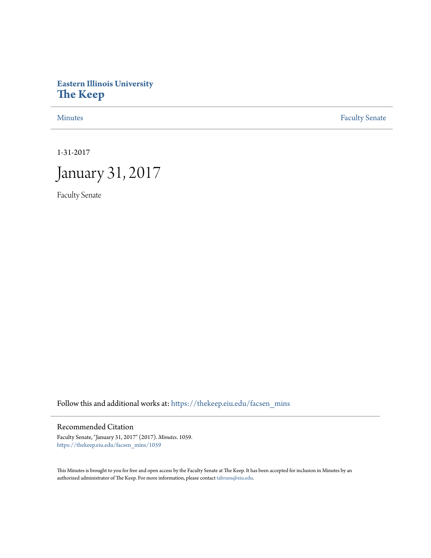# **Eastern Illinois University [The Keep](https://thekeep.eiu.edu?utm_source=thekeep.eiu.edu%2Ffacsen_mins%2F1059&utm_medium=PDF&utm_campaign=PDFCoverPages)**

[Minutes](https://thekeep.eiu.edu/facsen_mins?utm_source=thekeep.eiu.edu%2Ffacsen_mins%2F1059&utm_medium=PDF&utm_campaign=PDFCoverPages) **[Faculty Senate](https://thekeep.eiu.edu/fac_senate?utm_source=thekeep.eiu.edu%2Ffacsen_mins%2F1059&utm_medium=PDF&utm_campaign=PDFCoverPages)** 

1-31-2017



Faculty Senate

Follow this and additional works at: [https://thekeep.eiu.edu/facsen\\_mins](https://thekeep.eiu.edu/facsen_mins?utm_source=thekeep.eiu.edu%2Ffacsen_mins%2F1059&utm_medium=PDF&utm_campaign=PDFCoverPages)

# Recommended Citation

Faculty Senate, "January 31, 2017" (2017). *Minutes*. 1059. [https://thekeep.eiu.edu/facsen\\_mins/1059](https://thekeep.eiu.edu/facsen_mins/1059?utm_source=thekeep.eiu.edu%2Ffacsen_mins%2F1059&utm_medium=PDF&utm_campaign=PDFCoverPages)

This Minutes is brought to you for free and open access by the Faculty Senate at The Keep. It has been accepted for inclusion in Minutes by an authorized administrator of The Keep. For more information, please contact [tabruns@eiu.edu](mailto:tabruns@eiu.edu).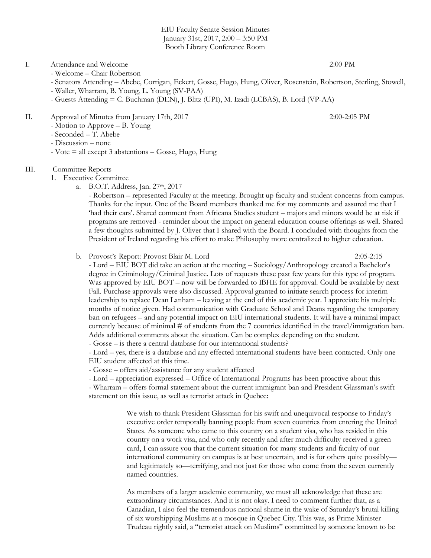EIU Faculty Senate Session Minutes January 31st, 2017, 2:00 – 3:50 PM Booth Library Conference Room

## I. Attendance and Welcome 2:00 PM

- Welcome Chair Robertson
- Senators Attending Abebe, Corrigan, Eckert, Gosse, Hugo, Hung, Oliver, Rosenstein, Robertson, Sterling, Stowell,
- Waller, Wharram, B. Young, L. Young (SV-PAA)
- Guests Attending = C. Buchman (DEN), J. Blitz (UPI), M. Izadi (LCBAS), B. Lord (VP-AA)

## II. Approval of Minutes from January 17th, 2017 2:00-2:05 PM

- Motion to Approve B. Young
- Seconded T. Abebe
- Discussion none
- $-$  Vote  $=$  all except 3 abstentions  $-$  Gosse, Hugo, Hung

#### III. Committee Reports

- 1. Executive Committee
	- a. B.O.T. Address, Jan. 27th, 2017

- Robertson – represented Faculty at the meeting. Brought up faculty and student concerns from campus. Thanks for the input. One of the Board members thanked me for my comments and assured me that I 'had their ears'. Shared comment from Africana Studies student – majors and minors would be at risk if programs are removed - reminder about the impact on general education course offerings as well. Shared a few thoughts submitted by J. Oliver that I shared with the Board. I concluded with thoughts from the President of Ireland regarding his effort to make Philosophy more centralized to higher education.

#### b. Provost's Report: Provost Blair M. Lord 2:05-2:15

- Lord – EIU BOT did take an action at the meeting – Sociology/Anthropology created a Bachelor's degree in Criminology/Criminal Justice. Lots of requests these past few years for this type of program. Was approved by EIU BOT – now will be forwarded to IBHE for approval. Could be available by next Fall. Purchase approvals were also discussed. Approval granted to initiate search process for interim leadership to replace Dean Lanham – leaving at the end of this academic year. I appreciate his multiple months of notice given. Had communication with Graduate School and Deans regarding the temporary ban on refugees – and any potential impact on EIU international students. It will have a minimal impact currently because of minimal # of students from the 7 countries identified in the travel/immigration ban. Adds additional comments about the situation. Can be complex depending on the student.

- Gosse – is there a central database for our international students?

- Lord – yes, there is a database and any effected international students have been contacted. Only one EIU student affected at this time.

- Gosse – offers aid/assistance for any student affected

- Lord – appreciation expressed – Office of International Programs has been proactive about this

- Wharram – offers formal statement about the current immigrant ban and President Glassman's swift statement on this issue, as well as terrorist attack in Quebec:

> We wish to thank President Glassman for his swift and unequivocal response to Friday's executive order temporally banning people from seven countries from entering the United States. As someone who came to this country on a student visa, who has resided in this country on a work visa, and who only recently and after much difficulty received a green card, I can assure you that the current situation for many students and faculty of our international community on campus is at best uncertain, and is for others quite possibly and legitimately so—terrifying, and not just for those who come from the seven currently named countries.

> As members of a larger academic community, we must all acknowledge that these are extraordinary circumstances. And it is not okay. I need to comment further that, as a Canadian, I also feel the tremendous national shame in the wake of Saturday's brutal killing of six worshipping Muslims at a mosque in Quebec City. This was, as Prime Minister Trudeau rightly said, a "terrorist attack on Muslims" committed by someone known to be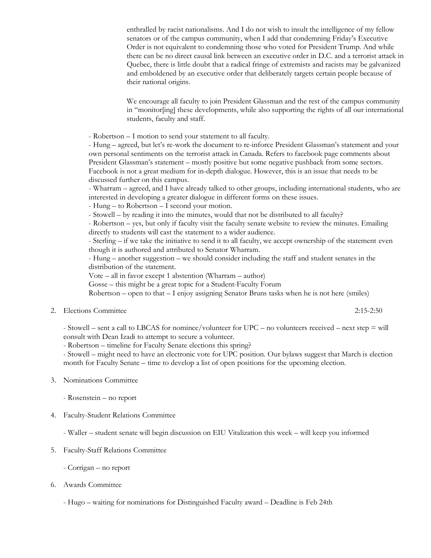enthralled by racist nationalisms. And I do not wish to insult the intelligence of my fellow senators or of the campus community, when I add that condemning Friday's Executive Order is not equivalent to condemning those who voted for President Trump. And while there can be no direct causal link between an executive order in D.C. and a terrorist attack in Quebec, there is little doubt that a radical fringe of extremists and racists may be galvanized and emboldened by an executive order that deliberately targets certain people because of their national origins.

We encourage all faculty to join President Glassman and the rest of the campus community in "monitor[ing] these developments, while also supporting the rights of all our international students, faculty and staff.

- Robertson – I motion to send your statement to all faculty.

- Hung – agreed, but let's re-work the document to re-inforce President Glassman's statement and your own personal sentiments on the terrorist attack in Canada. Refers to facebook page comments about President Glassman's statement – mostly positive but some negative pushback from some sectors. Facebook is not a great medium for in-depth dialogue. However, this is an issue that needs to be discussed further on this campus.

- Wharram – agreed, and I have already talked to other groups, including international students, who are interested in developing a greater dialogue in different forms on these issues.

- Hung – to Robertson – I second your motion.

- Stowell – by reading it into the minutes, would that not be distributed to all faculty?

- Robertson – yes, but only if faculty visit the faculty senate website to review the minutes. Emailing directly to students will cast the statement to a wider audience.

- Sterling – if we take the initiative to send it to all faculty, we accept ownership of the statement even though it is authored and attributed to Senator Wharram.

- Hung – another suggestion – we should consider including the staff and student senates in the distribution of the statement.

Vote – all in favor except 1 abstention (Wharram – author)

Gosse – this might be a great topic for a Student-Faculty Forum

 $Robertson – open to that – I enjoy assigning Senator Bruns tasks when he is not here (smiles)$ 

2. Elections Committee 2:15-2:50

- Stowell – sent a call to LBCAS for nominee/volunteer for UPC – no volunteers received – next step = will consult with Dean Izadi to attempt to secure a volunteer.

- Robertson – timeline for Faculty Senate elections this spring?

- Stowell – might need to have an electronic vote for UPC position. Our bylaws suggest that March is election month for Faculty Senate – time to develop a list of open positions for the upcoming election.

- 3. Nominations Committee
	- Rosenstein no report
- 4. Faculty-Student Relations Committee

- Waller – student senate will begin discussion on EIU Vitalization this week – will keep you informed

- 5. Faculty-Staff Relations Committee
	- Corrigan no report
- 6. Awards Committee

- Hugo – waiting for nominations for Distinguished Faculty award – Deadline is Feb 24th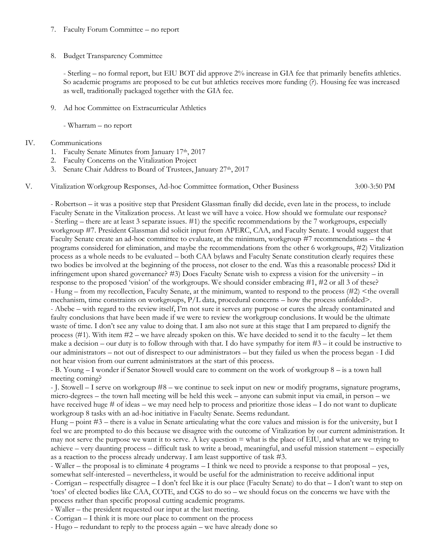## 7. Faculty Forum Committee – no report

# 8. Budget Transparency Committee

- Sterling – no formal report, but EIU BOT did approve 2% increase in GIA fee that primarily benefits athletics. So academic programs are proposed to be cut but athletics receives more funding (?). Housing fee was increased as well, traditionally packaged together with the GIA fee.

9. Ad hoc Committee on Extracurricular Athletics

- Wharram – no report

# IV. Communications

- 1. Faculty Senate Minutes from January 17th, 2017
- 2. Faculty Concerns on the Vitalization Project
- 3. Senate Chair Address to Board of Trustees, January 27<sup>th</sup>, 2017
- V. Vitalization Workgroup Responses, Ad-hoc Committee formation, Other Business 3:00-3:50 PM

- Robertson – it was a positive step that President Glassman finally did decide, even late in the process, to include Faculty Senate in the Vitalization process. At least we will have a voice. How should we formulate our response? - Sterling – there are at least 3 separate issues. #1) the specific recommendations by the 7 workgroups, especially workgroup #7. President Glassman did solicit input from APERC, CAA, and Faculty Senate. I would suggest that Faculty Senate create an ad-hoc committee to evaluate, at the minimum, workgroup #7 recommendations – the 4 programs considered for elimination, and maybe the recommendations from the other 6 workgroups, #2) Vitalization process as a whole needs to be evaluated – both CAA bylaws and Faculty Senate constitution clearly requires these two bodies be involved at the beginning of the process, not closer to the end. Was this a reasonable process? Did it infringement upon shared governance? #3) Does Faculty Senate wish to express a vision for the university – in response to the proposed 'vision' of the workgroups. We should consider embracing #1, #2 or all 3 of these? - Hung – from my recollection, Faculty Senate, at the minimum, wanted to respond to the process (#2) <the overall mechanism, time constraints on workgroups,  $P/L$  data, procedural concerns – how the process unfolded>. - Abebe – with regard to the review itself, I'm not sure it serves any purpose or cures the already contaminated and faulty conclusions that have been made if we were to review the workgroup conclusions. It would be the ultimate waste of time. I don't see any value to doing that. I am also not sure at this stage that I am prepared to dignify the process  $(\#1)$ . With item  $\#2$  – we have already spoken on this. We have decided to send it to the faculty – let them make a decision – our duty is to follow through with that. I do have sympathy for item  $#3$  – it could be instructive to our administrators – not out of disrespect to our administrators – but they failed us when the process began - I did not hear vision from our current administrators at the start of this process.

- B. Young – I wonder if Senator Stowell would care to comment on the work of workgroup 8 – is a town hall meeting coming?

- J. Stowell – I serve on workgroup #8 – we continue to seek input on new or modify programs, signature programs, micro-degrees – the town hall meeting will be held this week – anyone can submit input via email, in person – we have received huge # of ideas – we may need help to process and prioritize those ideas – I do not want to duplicate workgroup 8 tasks with an ad-hoc initiative in Faculty Senate. Seems redundant.

Hung – point #3 – there is a value in Senate articulating what the core values and mission is for the university, but I feel we are prompted to do this because we disagree with the outcome of Vitalization by our current administration. It may not serve the purpose we want it to serve. A key question  $=$  what is the place of EIU, and what are we trying to achieve – very daunting process – difficult task to write a broad, meaningful, and useful mission statement – especially as a reaction to the process already underway. I am least supportive of task #3.

- Waller – the proposal is to eliminate 4 programs – I think we need to provide a response to that proposal – yes, somewhat self-interested – nevertheless, it would be useful for the administration to receive additional input

- Corrigan – respectfully disagree – I don't feel like it is our place (Faculty Senate) to do that – I don't want to step on 'toes' of elected bodies like CAA, COTE, and CGS to do so – we should focus on the concerns we have with the process rather than specific proposal cutting academic programs.

- Waller – the president requested our input at the last meeting.

- Corrigan – I think it is more our place to comment on the process

- Hugo – redundant to reply to the process again – we have already done so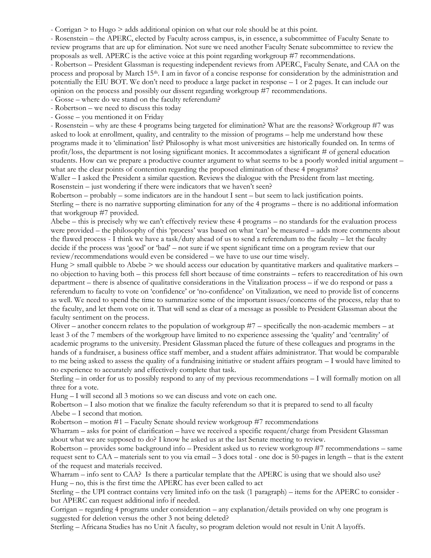- Corrigan > to Hugo > adds additional opinion on what our role should be at this point.

- Rosenstein – the APERC, elected by Faculty across campus, is, in essence, a subcommittee of Faculty Senate to review programs that are up for elimination. Not sure we need another Faculty Senate subcommittee to review the proposals as well. APERC is the active voice at this point regarding workgroup #7 recommendations.

- Robertson – President Glassman is requesting independent reviews from APERC, Faculty Senate, and CAA on the process and proposal by March 15th. I am in favor of a concise response for consideration by the administration and potentially the EIU BOT. We don't need to produce a large packet in response – 1 or 2 pages. It can include our opinion on the process and possibly our dissent regarding workgroup #7 recommendations.

- Gosse – where do we stand on the faculty referendum?

- Robertson – we need to discuss this today

- Gosse – you mentioned it on Friday

- Rosenstein – why are these 4 programs being targeted for elimination? What are the reasons? Workgroup #7 was asked to look at enrollment, quality, and centrality to the mission of programs – help me understand how these programs made it to 'elimination' list? Philosophy is what most universities are historically founded on. In terms of profit/loss, the department is not losing significant monies. It accommodates a significant # of general education students. How can we prepare a productive counter argument to what seems to be a poorly worded initial argument – what are the clear points of contention regarding the proposed elimination of these 4 programs?

Waller – I asked the President a similar question. Reviews the dialogue with the President from last meeting. Rosenstein – just wondering if there were indicators that we haven't seen?

Robertson – probably – some indicators are in the handout I sent – but seem to lack justification points. Sterling – there is no narrative supporting elimination for any of the 4 programs – there is no additional information that workgroup #7 provided.

Abebe – this is precisely why we can't effectively review these 4 programs – no standards for the evaluation process were provided – the philosophy of this 'process' was based on what 'can' be measured – adds more comments about the flawed process - I think we have a task/duty ahead of us to send a referendum to the faculty – let the faculty decide if the process was 'good' or 'bad' – not sure if we spent significant time on a program review that our review/recommendations would even be considered – we have to use our time wisely.

Hung  $>$  small quibble to Abebe  $>$  we should access our education by quantitative markers and qualitative markers – no objection to having both – this process fell short because of time constraints – refers to reaccreditation of his own department – there is absence of qualitative considerations in the Vitalization process – if we do respond or pass a referendum to faculty to vote on 'confidence' or 'no-confidence' on Vitalization, we need to provide list of concerns as well. We need to spend the time to summarize some of the important issues/concerns of the process, relay that to the faculty, and let them vote on it. That will send as clear of a message as possible to President Glassman about the faculty sentiment on the process.

Oliver – another concern relates to the population of workgroup  $#7$  – specifically the non-academic members – at least 3 of the 7 members of the workgroup have limited to no experience assessing the 'quality' and 'centrality' of academic programs to the university. President Glassman placed the future of these colleagues and programs in the hands of a fundraiser, a business office staff member, and a student affairs administrator. That would be comparable to me being asked to assess the quality of a fundraising initiative or student affairs program – I would have limited to no experience to accurately and effectively complete that task.

Sterling – in order for us to possibly respond to any of my previous recommendations – I will formally motion on all three for a vote.

Hung – I will second all 3 motions so we can discuss and vote on each one.

Robertson – I also motion that we finalize the faculty referendum so that it is prepared to send to all faculty Abebe – I second that motion.

Robertson – motion #1 – Faculty Senate should review workgroup #7 recommendations

Wharram – asks for point of clarification – have we received a specific requent/charge from President Glassman about what we are supposed to do? I know he asked us at the last Senate meeting to review.

Robertson – provides some background info – President asked us to review workgroup #7 recommendations – same request sent to CAA – materials sent to you via email – 3 docs total - one doc is 50-pages in length – that is the extent of the request and materials received.

Wharram – info sent to CAA? Is there a particular template that the APERC is using that we should also use? Hung – no, this is the first time the APERC has ever been called to act

Sterling – the UPI contract contains very limited info on the task (1 paragraph) – items for the APERC to consider but APERC can request additional info if needed.

Corrigan – regarding 4 programs under consideration – any explanation/details provided on why one program is suggested for deletion versus the other 3 not being deleted?

Sterling – Africana Studies has no Unit A faculty, so program deletion would not result in Unit A layoffs.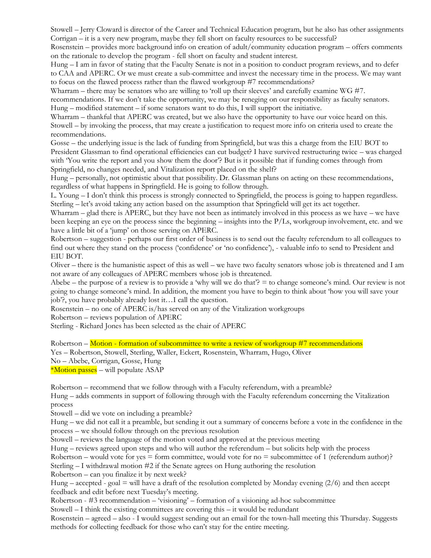Stowell – Jerry Cloward is director of the Career and Technical Education program, but he also has other assignments Corrigan – it is a very new program, maybe they fell short on faculty resources to be successful?

Rosenstein – provides more background info on creation of adult/community education program – offers comments on the rationale to develop the program - fell short on faculty and student interest.

Hung – I am in favor of stating that the Faculty Senate is not in a position to conduct program reviews, and to defer to CAA and APERC. Or we must create a sub-committee and invest the necessary time in the process. We may want to focus on the flawed process rather than the flawed workgroup #7 recommendations?

Wharram – there may be senators who are willing to 'roll up their sleeves' and carefully examine WG #7.

recommendations. If we don't take the opportunity, we may be reneging on our responsibility as faculty senators. Hung – modified statement – if some senators want to do this, I will support the initiative.

Wharram – thankful that APERC was created, but we also have the opportunity to have our voice heard on this. Stowell – by invoking the process, that may create a justification to request more info on criteria used to create the recommendations.

Gosse – the underlying issue is the lack of funding from Springfield, but was this a charge from the EIU BOT to President Glassman to find operational efficiencies can cut budget? I have survived restructuring twice – was charged with 'You write the report and you show them the door'? But is it possible that if funding comes through from Springfield, no changes needed, and Vitalization report placed on the shelf?

Hung – personally, not optimistic about that possibility. Dr. Glassman plans on acting on these recommendations, regardless of what happens in Springfield. He is going to follow through.

L. Young – I don't think this process is strongly connected to Springfield, the process is going to happen regardless. Sterling – let's avoid taking any action based on the assumption that Springfield will get its act together.

Wharram – glad there is APERC, but they have not been as intimately involved in this process as we have – we have been keeping an eye on the process since the beginning – insights into the P/Ls, workgroup involvement, etc. and we have a little bit of a 'jump' on those serving on APERC.

Robertson – suggestion - perhaps our first order of business is to send out the faculty referendum to all colleagues to find out where they stand on the process ('confidence' or 'no confidence'), - valuable info to send to President and EIU BOT.

Oliver – there is the humanistic aspect of this as well – we have two faculty senators whose job is threatened and I am not aware of any colleagues of APERC members whose job is threatened.

Abebe – the purpose of a review is to provide a 'why will we do that'?  $=$  to change someone's mind. Our review is not going to change someone's mind. In addition, the moment you have to begin to think about 'how you will save your job'?, you have probably already lost it…I call the question.

Rosenstein – no one of APERC is/has served on any of the Vitalization workgroups

Robertson – reviews population of APERC

Sterling - Richard Jones has been selected as the chair of APERC

Robertson – Motion - formation of subcommittee to write a review of workgroup #7 recommendations

Yes – Robertson, Stowell, Sterling, Waller, Eckert, Rosenstein, Wharram, Hugo, Oliver

No – Abebe, Corrigan, Gosse, Hung

\*Motion passes – will populate ASAP

Robertson – recommend that we follow through with a Faculty referendum, with a preamble?

Hung – adds comments in support of following through with the Faculty referendum concerning the Vitalization process

Stowell – did we vote on including a preamble?

Hung – we did not call it a preamble, but sending it out a summary of concerns before a vote in the confidence in the process – we should follow through on the previous resolution

Stowell – reviews the language of the motion voted and approved at the previous meeting

Hung – reviews agreed upon steps and who will author the referendum – but solicits help with the process

Robertson – would vote for yes  $=$  form committee, would vote for no  $=$  subcommittee of 1 (referendum author)?

Sterling – I withdrawal motion #2 if the Senate agrees on Hung authoring the resolution

Robertson – can you finalize it by next week?

Hung – accepted - goal = will have a draft of the resolution completed by Monday evening (2/6) and then accept feedback and edit before next Tuesday's meeting.

Robertson - #3 recommendation – 'visioning' – formation of a visioning ad-hoc subcommittee

Stowell  $-1$  think the existing committees are covering this  $-$  it would be redundant

Rosenstein – agreed – also - I would suggest sending out an email for the town-hall meeting this Thursday. Suggests methods for collecting feedback for those who can't stay for the entire meeting.